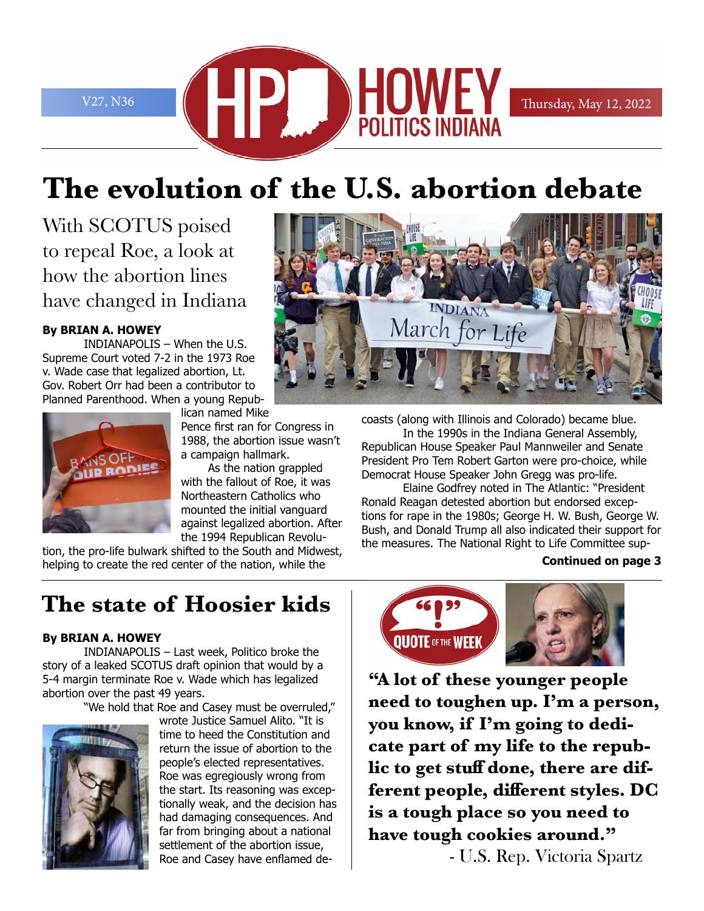

# **The evolution of the U.S. abortion debate**

With SCOTUS poised to repeal Roe, a look at how the abortion lines have changed in Indiana

#### **By BRIAN A. HOWEY**

INDIANAPOLIS – When the U.S. Supreme Court voted 7-2 in the 1973 Roe v. Wade case that legalized abortion, Lt. Gov. Robert Orr had been a contributor to Planned Parenthood. When a young Repub-



lican named Mike Pence first ran for Congress in 1988, the abortion issue wasn't a campaign hallmark.

As the nation grappled with the fallout of Roe, it was Northeastern Catholics who mounted the initial vanguard against legalized abortion. After the 1994 Republican Revolu-

tion, the pro-life bulwark shifted to the South and Midwest, helping to create the red center of the nation, while the

# **The state of Hoosier kids**

#### **By BRIAN A. HOWEY**

INDIANAPOLIS – Last week, Politico broke the story of a leaked SCOTUS draft opinion that would by a 5-4 margin terminate Roe v. Wade which has legalized abortion over the past 49 years.

"We hold that Roe and Casey must be overruled,"



wrote Justice Samuel Alito. "It is time to heed the Constitution and return the issue of abortion to the people's elected representatives. Roe was egregiously wrong from the start. Its reasoning was exceptionally weak, and the decision has had damaging consequences. And far from bringing about a national settlement of the abortion issue, Roe and Casey have enflamed de-



coasts (along with Illinois and Colorado) became blue.

In the 1990s in the Indiana General Assembly, Republican House Speaker Paul Mannweiler and Senate President Pro Tem Robert Garton were pro-choice, while Democrat House Speaker John Gregg was pro-life.

Elaine Godfrey noted in The Atlantic: "President Ronald Reagan detested abortion but endorsed exceptions for rape in the 1980s; George H. W. Bush, George W. Bush, and Donald Trump all also indicated their support for the measures. The National Right to Life Committee sup-

#### **Continued on page 3**



**"A lot of these younger people need to toughen up. I'm a person, you know, if I'm going to dedicate part of my life to the republic to get stuff done, there are different people, different styles. DC is a tough place so you need to have tough cookies around."** - U.S. Rep. Victoria Spartz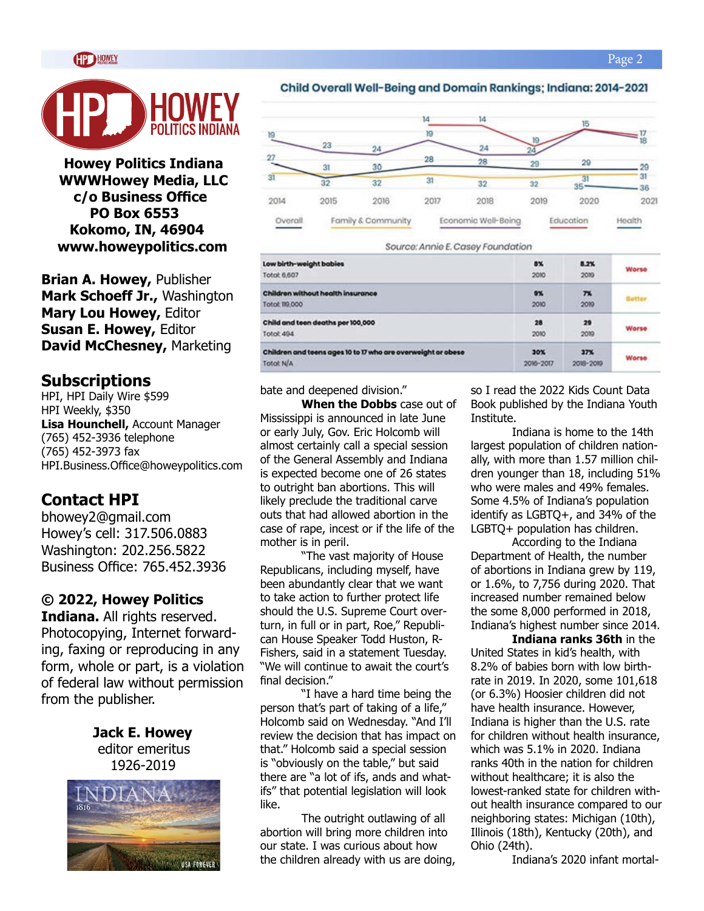

**Howey Politics Indiana WWWHowey Media, LLC c/o Business Office PO Box 6553 Kokomo, IN, 46904 www.howeypolitics.com**

**Brian A. Howey,** Publisher **Mark Schoeff Jr.,** Washington **Mary Lou Howey,** Editor **Susan E. Howey,** Editor **David McChesney,** Marketing

#### **Subscriptions**

HPI, HPI Daily Wire \$599 HPI Weekly, \$350 **Lisa Hounchell,** Account Manager (765) 452-3936 telephone (765) 452-3973 fax HPI.Business.Office@howeypolitics.com

### **Contact HPI**

bhowey2@gmail.com Howey's cell: 317.506.0883 Washington: 202.256.5822 Business Office: 765.452.3936

#### **© 2022, Howey Politics**

**Indiana.** All rights reserved. Photocopying, Internet forwarding, faxing or reproducing in any form, whole or part, is a violation of federal law without permission from the publisher.

> **Jack E. Howey** editor emeritus 1926-2019



#### Child Overall Well-Being and Domain Rankings; Indiana: 2014-2021



Source: Annie E. Casey Foundation

| Low birth-weight babies                                      | 8%        | 8.2%           | Worse  |
|--------------------------------------------------------------|-----------|----------------|--------|
| Total: 6,607                                                 | 2010      | 2019           |        |
| Children without health insurance                            | $9\%$     | 7 <sub>x</sub> | Better |
| O00.911 floto                                                | 2010      | 20%            |        |
| Child and teen deaths per 100,000                            | 28        | 29             | Worse  |
| Total: 494                                                   | 2010      | 2019           |        |
| Children and teens ages 10 to 17 who are overweight or obese | 30%       | 37%            | Worse  |
| Total: N/A                                                   | 2016~2017 | 2018-2019      |        |

bate and deepened division."

**When the Dobbs** case out of Mississippi is announced in late June or early July, Gov. Eric Holcomb will almost certainly call a special session of the General Assembly and Indiana is expected become one of 26 states to outright ban abortions. This will likely preclude the traditional carve outs that had allowed abortion in the case of rape, incest or if the life of the mother is in peril.

"The vast majority of House Republicans, including myself, have been abundantly clear that we want to take action to further protect life should the U.S. Supreme Court overturn, in full or in part, Roe," Republican House Speaker Todd Huston, R-Fishers, said in a statement Tuesday. "We will continue to await the court's final decision."

"I have a hard time being the person that's part of taking of a life," Holcomb said on Wednesday. "And I'll review the decision that has impact on that." Holcomb said a special session is "obviously on the table," but said there are "a lot of ifs, ands and whatifs" that potential legislation will look like.

The outright outlawing of all abortion will bring more children into our state. I was curious about how the children already with us are doing,

so I read the 2022 Kids Count Data Book published by the Indiana Youth Institute.

Indiana is home to the 14th largest population of children nationally, with more than 1.57 million children younger than 18, including 51% who were males and 49% females. Some 4.5% of Indiana's population identify as LGBTQ+, and 34% of the LGBTQ+ population has children.

According to the Indiana Department of Health, the number of abortions in Indiana grew by 119, or 1.6%, to 7,756 during 2020. That increased number remained below the some 8,000 performed in 2018, Indiana's highest number since 2014.

**Indiana ranks 36th** in the United States in kid's health, with 8.2% of babies born with low birthrate in 2019. In 2020, some 101,618 (or 6.3%) Hoosier children did not have health insurance. However, Indiana is higher than the U.S. rate for children without health insurance, which was 5.1% in 2020. Indiana ranks 40th in the nation for children without healthcare; it is also the lowest-ranked state for children without health insurance compared to our neighboring states: Michigan (10th), Illinois (18th), Kentucky (20th), and Ohio (24th).

Indiana's 2020 infant mortal-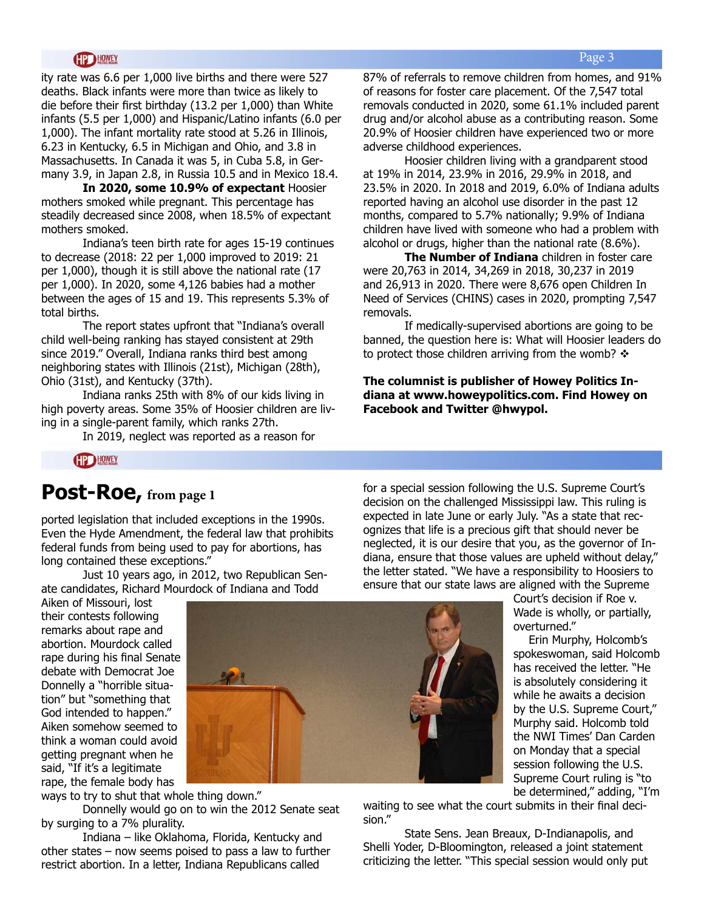#### **HOWEY**

ity rate was 6.6 per 1,000 live births and there were 527 deaths. Black infants were more than twice as likely to die before their first birthday (13.2 per 1,000) than White infants (5.5 per 1,000) and Hispanic/Latino infants (6.0 per 1,000). The infant mortality rate stood at 5.26 in Illinois, 6.23 in Kentucky, 6.5 in Michigan and Ohio, and 3.8 in Massachusetts. In Canada it was 5, in Cuba 5.8, in Germany 3.9, in Japan 2.8, in Russia 10.5 and in Mexico 18.4.

**In 2020, some 10.9% of expectant** Hoosier mothers smoked while pregnant. This percentage has steadily decreased since 2008, when 18.5% of expectant mothers smoked.

Indiana's teen birth rate for ages 15-19 continues to decrease (2018: 22 per 1,000 improved to 2019: 21 per 1,000), though it is still above the national rate (17 per 1,000). In 2020, some 4,126 babies had a mother between the ages of 15 and 19. This represents 5.3% of total births.

The report states upfront that "Indiana's overall child well-being ranking has stayed consistent at 29th since 2019." Overall, Indiana ranks third best among neighboring states with Illinois (21st), Michigan (28th), Ohio (31st), and Kentucky (37th).

Indiana ranks 25th with 8% of our kids living in high poverty areas. Some 35% of Hoosier children are living in a single-parent family, which ranks 27th.

In 2019, neglect was reported as a reason for

87% of referrals to remove children from homes, and 91% of reasons for foster care placement. Of the 7,547 total removals conducted in 2020, some 61.1% included parent drug and/or alcohol abuse as a contributing reason. Some 20.9% of Hoosier children have experienced two or more adverse childhood experiences.

Hoosier children living with a grandparent stood at 19% in 2014, 23.9% in 2016, 29.9% in 2018, and 23.5% in 2020. In 2018 and 2019, 6.0% of Indiana adults reported having an alcohol use disorder in the past 12 months, compared to 5.7% nationally; 9.9% of Indiana children have lived with someone who had a problem with alcohol or drugs, higher than the national rate (8.6%).

**The Number of Indiana** children in foster care were 20,763 in 2014, 34,269 in 2018, 30,237 in 2019 and 26,913 in 2020. There were 8,676 open Children In Need of Services (CHINS) cases in 2020, prompting 7,547 removals.

If medically-supervised abortions are going to be banned, the question here is: What will Hoosier leaders do to protect those children arriving from the womb?  $\triangleleft$ 

**The columnist is publisher of Howey Politics Indiana at www.howeypolitics.com. Find Howey on Facebook and Twitter @hwypol.**

**HP HOWEY** 

### **Post-Roe, from page 1**

ported legislation that included exceptions in the 1990s. Even the Hyde Amendment, the federal law that prohibits federal funds from being used to pay for abortions, has long contained these exceptions."

Just 10 years ago, in 2012, two Republican Senate candidates, Richard Mourdock of Indiana and Todd

Aiken of Missouri, lost their contests following remarks about rape and abortion. Mourdock called rape during his final Senate debate with Democrat Joe Donnelly a "horrible situation" but "something that God intended to happen." Aiken somehow seemed to think a woman could avoid getting pregnant when he said, "If it's a legitimate rape, the female body has



ways to try to shut that whole thing down."

Donnelly would go on to win the 2012 Senate seat by surging to a 7% plurality.

Indiana – like Oklahoma, Florida, Kentucky and other states – now seems poised to pass a law to further restrict abortion. In a letter, Indiana Republicans called

for a special session following the U.S. Supreme Court's decision on the challenged Mississippi law. This ruling is expected in late June or early July. "As a state that recognizes that life is a precious gift that should never be neglected, it is our desire that you, as the governor of Indiana, ensure that those values are upheld without delay," the letter stated. "We have a responsibility to Hoosiers to ensure that our state laws are aligned with the Supreme

> Court's decision if Roe v. Wade is wholly, or partially, overturned."

Erin Murphy, Holcomb's spokeswoman, said Holcomb has received the letter. "He is absolutely considering it while he awaits a decision by the U.S. Supreme Court," Murphy said. Holcomb told the NWI Times' Dan Carden on Monday that a special session following the U.S. Supreme Court ruling is "to be determined," adding, "I'm

waiting to see what the court submits in their final decision."

State Sens. Jean Breaux, D-Indianapolis, and Shelli Yoder, D-Bloomington, released a joint statement criticizing the letter. "This special session would only put

#### Page 3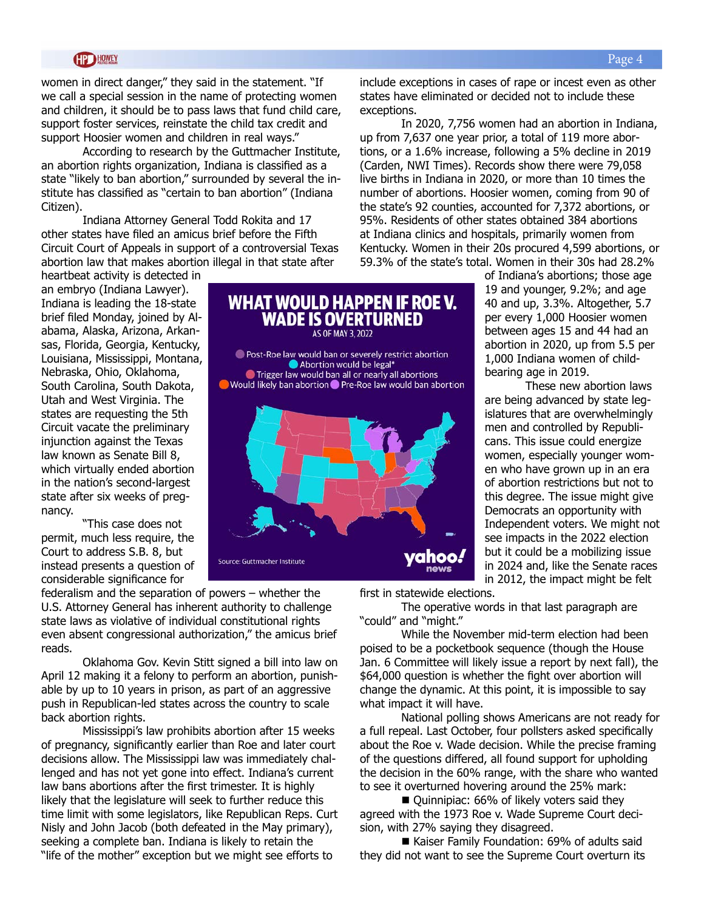#### **HD HOWEY**

women in direct danger," they said in the statement. "If we call a special session in the name of protecting women and children, it should be to pass laws that fund child care, support foster services, reinstate the child tax credit and support Hoosier women and children in real ways."

According to research by the Guttmacher Institute, an abortion rights organization, Indiana is classified as a state "likely to ban abortion," surrounded by several the institute has classified as "certain to ban abortion" (Indiana Citizen).

Indiana Attorney General Todd Rokita and 17 other states have filed an amicus brief before the Fifth Circuit Court of Appeals in support of a controversial Texas abortion law that makes abortion illegal in that state after

heartbeat activity is detected in an embryo (Indiana Lawyer). Indiana is leading the 18-state brief filed Monday, joined by Alabama, Alaska, Arizona, Arkansas, Florida, Georgia, Kentucky, Louisiana, Mississippi, Montana, Nebraska, Ohio, Oklahoma, South Carolina, South Dakota, Utah and West Virginia. The states are requesting the 5th Circuit vacate the preliminary injunction against the Texas law known as Senate Bill 8, which virtually ended abortion in the nation's second-largest state after six weeks of pregnancy.

"This case does not permit, much less require, the Court to address S.B. 8, but instead presents a question of considerable significance for

federalism and the separation of powers – whether the U.S. Attorney General has inherent authority to challenge state laws as violative of individual constitutional rights even absent congressional authorization," the amicus brief reads.

Oklahoma Gov. Kevin Stitt signed a bill into law on April 12 making it a felony to perform an abortion, punishable by up to 10 years in prison, as part of an aggressive push in Republican-led states across the country to scale back abortion rights.

Mississippi's law prohibits abortion after 15 weeks of pregnancy, significantly earlier than Roe and later court decisions allow. The Mississippi law was immediately challenged and has not yet gone into effect. Indiana's current law bans abortions after the first trimester. It is highly likely that the legislature will seek to further reduce this time limit with some legislators, like Republican Reps. Curt Nisly and John Jacob (both defeated in the May primary), seeking a complete ban. Indiana is likely to retain the "life of the mother" exception but we might see efforts to

include exceptions in cases of rape or incest even as other states have eliminated or decided not to include these exceptions.

In 2020, 7,756 women had an abortion in Indiana, up from 7,637 one year prior, a total of 119 more abortions, or a 1.6% increase, following a 5% decline in 2019 (Carden, NWI Times). Records show there were 79,058 live births in Indiana in 2020, or more than 10 times the number of abortions. Hoosier women, coming from 90 of the state's 92 counties, accounted for 7,372 abortions, or 95%. Residents of other states obtained 384 abortions at Indiana clinics and hospitals, primarily women from Kentucky. Women in their 20s procured 4,599 abortions, or 59.3% of the state's total. Women in their 30s had 28.2%

> of Indiana's abortions; those age 19 and younger, 9.2%; and age 40 and up, 3.3%. Altogether, 5.7 per every 1,000 Hoosier women between ages 15 and 44 had an abortion in 2020, up from 5.5 per 1,000 Indiana women of childbearing age in 2019.

These new abortion laws are being advanced by state legislatures that are overwhelmingly men and controlled by Republicans. This issue could energize women, especially younger women who have grown up in an era of abortion restrictions but not to this degree. The issue might give Democrats an opportunity with Independent voters. We might not see impacts in the 2022 election but it could be a mobilizing issue in 2024 and, like the Senate races in 2012, the impact might be felt

first in statewide elections.

The operative words in that last paragraph are "could" and "might."

While the November mid-term election had been poised to be a pocketbook sequence (though the House Jan. 6 Committee will likely issue a report by next fall), the \$64,000 question is whether the fight over abortion will change the dynamic. At this point, it is impossible to say what impact it will have.

National polling shows Americans are not ready for a full repeal. Last October, four pollsters asked specifically about the Roe v. Wade decision. While the precise framing of the questions differed, all found support for upholding the decision in the 60% range, with the share who wanted to see it overturned hovering around the 25% mark:

■ Quinnipiac: 66% of likely voters said they agreed with the 1973 Roe v. Wade Supreme Court decision, with 27% saying they disagreed.

■ Kaiser Family Foundation: 69% of adults said they did not want to see the Supreme Court overturn its

# WHAT WOULD HAPPEN IF ROE V. **WADE IS OVERTURNED**



AS OF MAY 3, 2022 Post-Roe law would ban or severely restrict abortion Abortion would be legal\*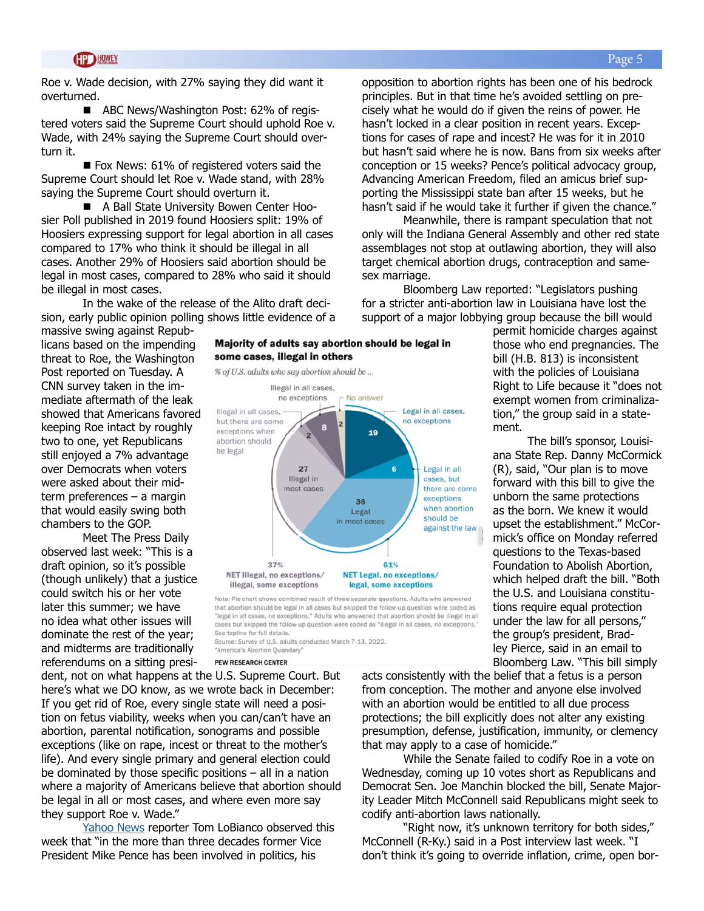Roe v. Wade decision, with 27% saying they did want it overturned.

■ ABC News/Washington Post: 62% of registered voters said the Supreme Court should uphold Roe v. Wade, with 24% saying the Supreme Court should overturn it.

 $\blacksquare$  Fox News: 61% of registered voters said the Supreme Court should let Roe v. Wade stand, with 28% saying the Supreme Court should overturn it.

■ A Ball State University Bowen Center Hoosier Poll published in 2019 found Hoosiers split: 19% of Hoosiers expressing support for legal abortion in all cases compared to 17% who think it should be illegal in all cases. Another 29% of Hoosiers said abortion should be legal in most cases, compared to 28% who said it should be illegal in most cases.

In the wake of the release of the Alito draft decision, early public opinion polling shows little evidence of a

massive swing against Republicans based on the impending threat to Roe, the Washington Post reported on Tuesday. A CNN survey taken in the immediate aftermath of the leak showed that Americans favored keeping Roe intact by roughly two to one, yet Republicans still enjoyed a 7% advantage over Democrats when voters were asked about their midterm preferences – a margin that would easily swing both chambers to the GOP.

Meet The Press Daily observed last week: "This is a draft opinion, so it's possible (though unlikely) that a justice could switch his or her vote later this summer; we have no idea what other issues will dominate the rest of the year; and midterms are traditionally referendums on a sitting presi-



Majority of adults say abortion should be legal in

some cases, illegal in others

that abortion should be legal in all cases but skipped the follow-up question were coded as "legal in all cases, no exceptions." Adults who answered that abortion should be illegal in all cases but skipped the follow-up question were coded as "illegal in all cases, no exceptions." See topline for full details. Source: Survey of U.S. adults conducted March 7-13, 2022.

"America's Abortion Quandary"

PEW RESEARCH CENTER

dent, not on what happens at the U.S. Supreme Court. But here's what we DO know, as we wrote back in December: If you get rid of Roe, every single state will need a position on fetus viability, weeks when you can/can't have an abortion, parental notification, sonograms and possible exceptions (like on rape, incest or threat to the mother's life). And every single primary and general election could be dominated by those specific positions – all in a nation where a majority of Americans believe that abortion should be legal in all or most cases, and where even more say they support Roe v. Wade."

[Yahoo News](https://news.yahoo.com/pences-career-long-stance-against-abortion-leaves-out-the-details-213238690.html) reporter Tom LoBianco observed this week that "in the more than three decades former Vice President Mike Pence has been involved in politics, his

opposition to abortion rights has been one of his bedrock principles. But in that time he's avoided settling on precisely what he would do if given the reins of power. He hasn't locked in a clear position in recent years. Exceptions for cases of rape and incest? He was for it in 2010 but hasn't said where he is now. Bans from six weeks after conception or 15 weeks? Pence's political advocacy group, Advancing American Freedom, filed an amicus brief supporting the Mississippi state ban after 15 weeks, but he hasn't said if he would take it further if given the chance."

Meanwhile, there is rampant speculation that not only will the Indiana General Assembly and other red state assemblages not stop at outlawing abortion, they will also target chemical abortion drugs, contraception and samesex marriage.

Bloomberg Law reported: "Legislators pushing for a stricter anti-abortion law in Louisiana have lost the support of a major lobbying group because the bill would

> permit homicide charges against those who end pregnancies. The bill (H.B. 813) is inconsistent with the policies of Louisiana Right to Life because it "does not exempt women from criminalization," the group said in a statement.

> The bill's sponsor, Louisiana State Rep. Danny McCormick (R), said, "Our plan is to move forward with this bill to give the unborn the same protections as the born. We knew it would upset the establishment." McCormick's office on Monday referred questions to the Texas-based Foundation to Abolish Abortion, which helped draft the bill. "Both the U.S. and Louisiana constitutions require equal protection under the law for all persons," the group's president, Bradley Pierce, said in an email to Bloomberg Law. "This bill simply

acts consistently with the belief that a fetus is a person from conception. The mother and anyone else involved with an abortion would be entitled to all due process protections; the bill explicitly does not alter any existing presumption, defense, justification, immunity, or clemency that may apply to a case of homicide."

While the Senate failed to codify Roe in a vote on Wednesday, coming up 10 votes short as Republicans and Democrat Sen. Joe Manchin blocked the bill, Senate Majority Leader Mitch McConnell said Republicans might seek to codify anti-abortion laws nationally.

"Right now, it's unknown territory for both sides," McConnell (R-Ky.) said in a Post interview last week. "I don't think it's going to override inflation, crime, open bor-

#### Page 5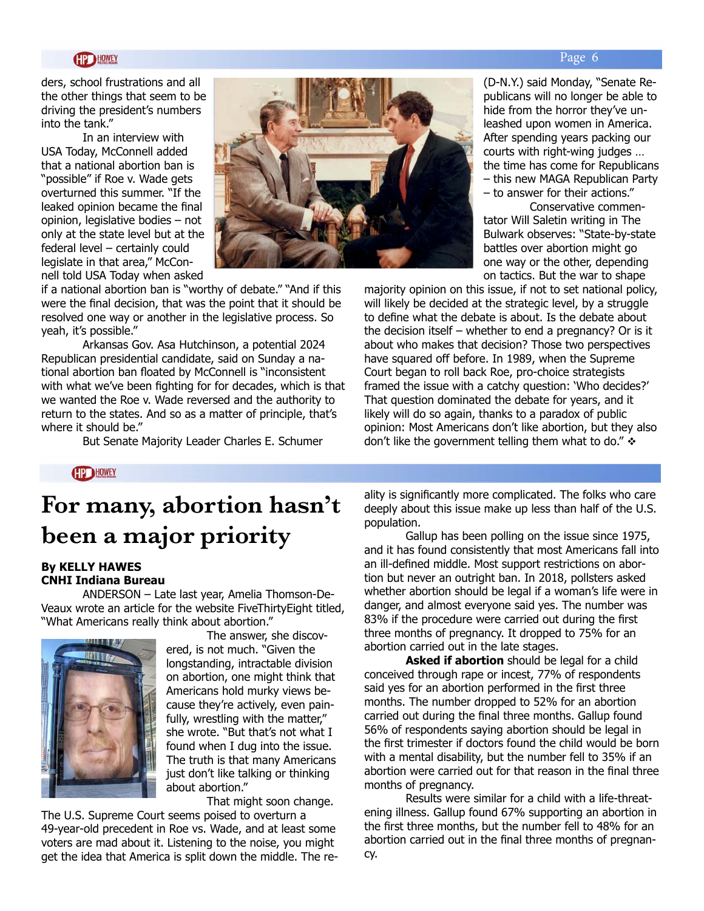ders, school frustrations and all the other things that seem to be driving the president's numbers into the tank."

In an interview with USA Today, McConnell added that a national abortion ban is "possible" if Roe v. Wade gets overturned this summer. "If the leaked opinion became the final opinion, legislative bodies – not only at the state level but at the federal level – certainly could legislate in that area," McConnell told USA Today when asked



if a national abortion ban is "worthy of debate." "And if this were the final decision, that was the point that it should be resolved one way or another in the legislative process. So yeah, it's possible."

Arkansas Gov. Asa Hutchinson, a potential 2024 Republican presidential candidate, said on Sunday a national abortion ban floated by McConnell is "inconsistent with what we've been fighting for for decades, which is that we wanted the Roe v. Wade reversed and the authority to return to the states. And so as a matter of principle, that's where it should be."

But Senate Majority Leader Charles E. Schumer

(D-N.Y.) said Monday, "Senate Republicans will no longer be able to hide from the horror they've unleashed upon women in America. After spending years packing our courts with right-wing judges … the time has come for Republicans – this new MAGA Republican Party – to answer for their actions."

 Conservative commentator Will Saletin writing in The Bulwark observes: "State-by-state battles over abortion might go one way or the other, depending on tactics. But the war to shape

majority opinion on this issue, if not to set national policy, will likely be decided at the strategic level, by a struggle to define what the debate is about. Is the debate about the decision itself – whether to end a pregnancy? Or is it about who makes that decision? Those two perspectives have squared off before. In 1989, when the Supreme Court began to roll back Roe, pro-choice strategists framed the issue with a catchy question: 'Who decides?' That question dominated the debate for years, and it likely will do so again, thanks to a paradox of public opinion: Most Americans don't like abortion, but they also don't like the government telling them what to do."  $\div$ 

**HD HOWEY** 

## **For many, abortion hasn't been a major priority**

#### **By KELLY HAWES CNHI Indiana Bureau**

ANDERSON – Late last year, Amelia Thomson-De-Veaux wrote an article for the website FiveThirtyEight titled, "What Americans really think about abortion."



The answer, she discovered, is not much. "Given the longstanding, intractable division on abortion, one might think that Americans hold murky views because they're actively, even painfully, wrestling with the matter," she wrote. "But that's not what I found when I dug into the issue. The truth is that many Americans just don't like talking or thinking about abortion."

That might soon change.

The U.S. Supreme Court seems poised to overturn a 49-year-old precedent in Roe vs. Wade, and at least some voters are mad about it. Listening to the noise, you might get the idea that America is split down the middle. The reality is significantly more complicated. The folks who care deeply about this issue make up less than half of the U.S. population.

Gallup has been polling on the issue since 1975, and it has found consistently that most Americans fall into an ill-defined middle. Most support restrictions on abortion but never an outright ban. In 2018, pollsters asked whether abortion should be legal if a woman's life were in danger, and almost everyone said yes. The number was 83% if the procedure were carried out during the first three months of pregnancy. It dropped to 75% for an abortion carried out in the late stages.

**Asked if abortion** should be legal for a child conceived through rape or incest, 77% of respondents said yes for an abortion performed in the first three months. The number dropped to 52% for an abortion carried out during the final three months. Gallup found 56% of respondents saying abortion should be legal in the first trimester if doctors found the child would be born with a mental disability, but the number fell to 35% if an abortion were carried out for that reason in the final three months of pregnancy.

Results were similar for a child with a life-threatening illness. Gallup found 67% supporting an abortion in the first three months, but the number fell to 48% for an abortion carried out in the final three months of pregnancy.

#### Page 6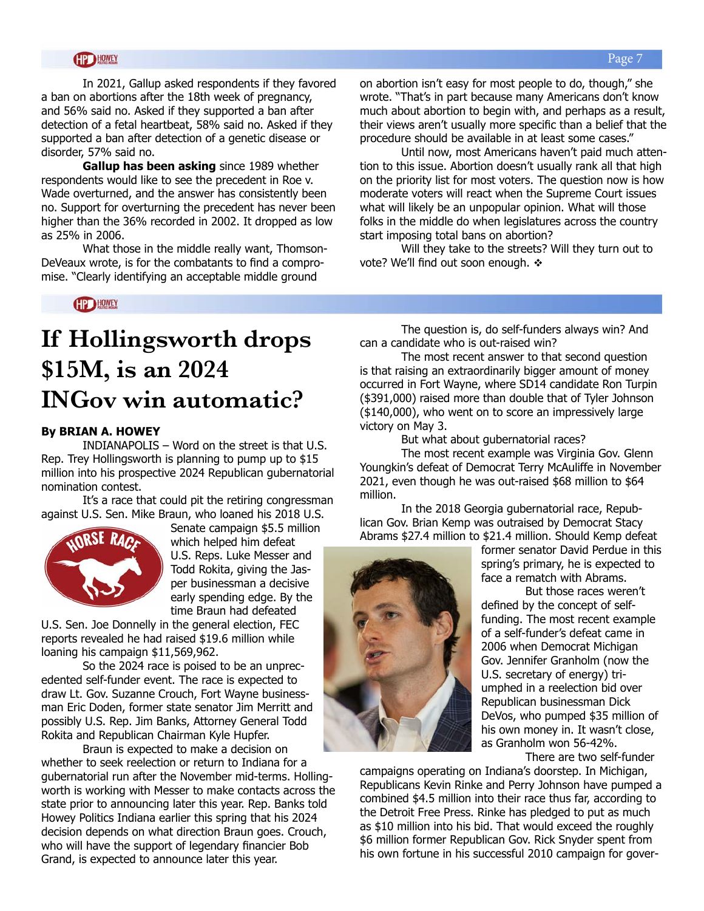In 2021, Gallup asked respondents if they favored a ban on abortions after the 18th week of pregnancy, and 56% said no. Asked if they supported a ban after detection of a fetal heartbeat, 58% said no. Asked if they supported a ban after detection of a genetic disease or disorder, 57% said no.

**Gallup has been asking** since 1989 whether respondents would like to see the precedent in Roe v. Wade overturned, and the answer has consistently been no. Support for overturning the precedent has never been higher than the 36% recorded in 2002. It dropped as low as 25% in 2006.

What those in the middle really want, Thomson-DeVeaux wrote, is for the combatants to find a compromise. "Clearly identifying an acceptable middle ground

on abortion isn't easy for most people to do, though," she wrote. "That's in part because many Americans don't know much about abortion to begin with, and perhaps as a result, their views aren't usually more specific than a belief that the procedure should be available in at least some cases."

Until now, most Americans haven't paid much attention to this issue. Abortion doesn't usually rank all that high on the priority list for most voters. The question now is how moderate voters will react when the Supreme Court issues what will likely be an unpopular opinion. What will those folks in the middle do when legislatures across the country start imposing total bans on abortion?

Will they take to the streets? Will they turn out to vote? We'll find out soon enough.  $\cdot\cdot$ 

**HP HOWEY** 

# **If Hollingsworth drops \$15M, is an 2024 INGov win automatic?**

#### **By BRIAN A. HOWEY**

INDIANAPOLIS – Word on the street is that U.S. Rep. Trey Hollingsworth is planning to pump up to \$15 million into his prospective 2024 Republican gubernatorial nomination contest.

It's a race that could pit the retiring congressman against U.S. Sen. Mike Braun, who loaned his 2018 U.S.



Senate campaign \$5.5 million which helped him defeat U.S. Reps. Luke Messer and Todd Rokita, giving the Jasper businessman a decisive early spending edge. By the time Braun had defeated

U.S. Sen. Joe Donnelly in the general election, FEC reports revealed he had raised \$19.6 million while loaning his campaign \$11,569,962.

So the 2024 race is poised to be an unprecedented self-funder event. The race is expected to draw Lt. Gov. Suzanne Crouch, Fort Wayne businessman Eric Doden, former state senator Jim Merritt and possibly U.S. Rep. Jim Banks, Attorney General Todd Rokita and Republican Chairman Kyle Hupfer.

Braun is expected to make a decision on whether to seek reelection or return to Indiana for a gubernatorial run after the November mid-terms. Hollingworth is working with Messer to make contacts across the state prior to announcing later this year. Rep. Banks told Howey Politics Indiana earlier this spring that his 2024 decision depends on what direction Braun goes. Crouch, who will have the support of legendary financier Bob Grand, is expected to announce later this year.

The question is, do self-funders always win? And can a candidate who is out-raised win?

The most recent answer to that second question is that raising an extraordinarily bigger amount of money occurred in Fort Wayne, where SD14 candidate Ron Turpin (\$391,000) raised more than double that of Tyler Johnson (\$140,000), who went on to score an impressively large victory on May 3.

But what about gubernatorial races?

The most recent example was Virginia Gov. Glenn Youngkin's defeat of Democrat Terry McAuliffe in November 2021, even though he was out-raised \$68 million to \$64 million.

In the 2018 Georgia gubernatorial race, Republican Gov. Brian Kemp was outraised by Democrat Stacy Abrams \$27.4 million to \$21.4 million. Should Kemp defeat



former senator David Perdue in this spring's primary, he is expected to face a rematch with Abrams.

But those races weren't defined by the concept of selffunding. The most recent example of a self-funder's defeat came in 2006 when Democrat Michigan Gov. Jennifer Granholm (now the U.S. secretary of energy) triumphed in a reelection bid over Republican businessman Dick DeVos, who pumped \$35 million of his own money in. It wasn't close, as Granholm won 56-42%.

There are two self-funder

campaigns operating on Indiana's doorstep. In Michigan, Republicans Kevin Rinke and Perry Johnson have pumped a combined \$4.5 million into their race thus far, according to the Detroit Free Press. Rinke has pledged to put as much as \$10 million into his bid. That would exceed the roughly \$6 million former Republican Gov. Rick Snyder spent from his own fortune in his successful 2010 campaign for gover-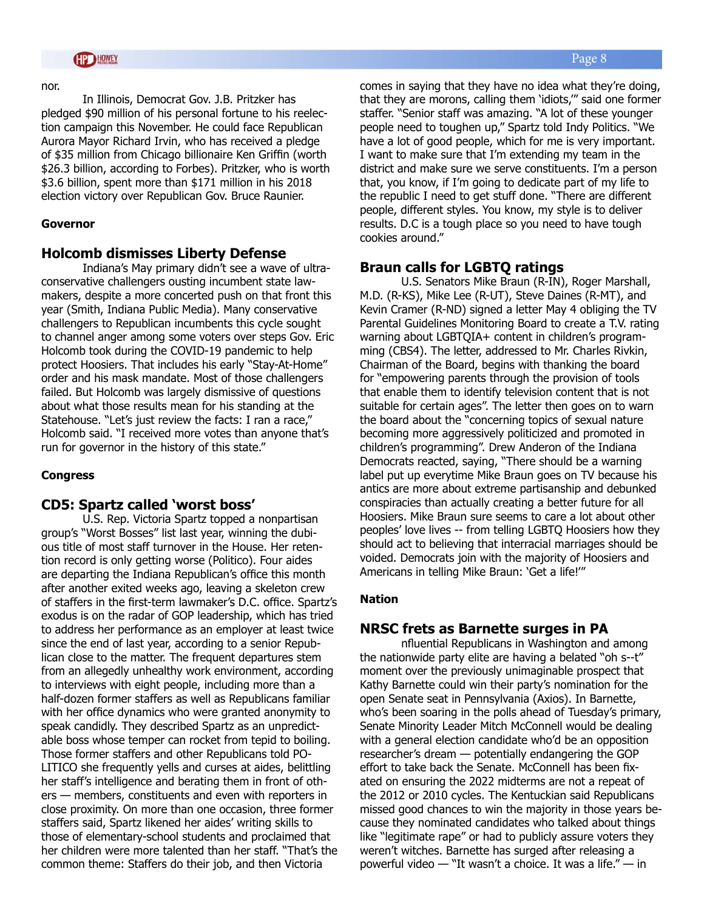#### nor.

In Illinois, Democrat Gov. J.B. Pritzker has pledged \$90 million of his personal fortune to his reelection campaign this November. He could face Republican Aurora Mayor Richard Irvin, who has received a pledge of \$35 million from Chicago billionaire Ken Griffin (worth \$26.3 billion, according to Forbes). Pritzker, who is worth \$3.6 billion, spent more than \$171 million in his 2018 election victory over Republican Gov. Bruce Raunier.

#### **Governor**

#### **Holcomb dismisses Liberty Defense**

Indiana's May primary didn't see a wave of ultraconservative challengers ousting incumbent state lawmakers, despite a more concerted push on that front this year (Smith, Indiana Public Media). Many conservative challengers to Republican incumbents this cycle sought to channel anger among some voters over steps Gov. Eric Holcomb took during the COVID-19 pandemic to help protect Hoosiers. That includes his early "Stay-At-Home" order and his mask mandate. Most of those challengers failed. But Holcomb was largely dismissive of questions about what those results mean for his standing at the Statehouse. "Let's just review the facts: I ran a race," Holcomb said. "I received more votes than anyone that's run for governor in the history of this state."

#### **Congress**

#### **CD5: Spartz called 'worst boss'**

U.S. Rep. Victoria Spartz topped a nonpartisan group's "Worst Bosses" list last year, winning the dubious title of most staff turnover in the House. Her retention record is only getting worse (Politico). Four aides are departing the Indiana Republican's office this month after another exited weeks ago, leaving a skeleton crew of staffers in the first-term lawmaker's D.C. office. Spartz's exodus is on the radar of GOP leadership, which has tried to address her performance as an employer at least twice since the end of last year, according to a senior Republican close to the matter. The frequent departures stem from an allegedly unhealthy work environment, according to interviews with eight people, including more than a half-dozen former staffers as well as Republicans familiar with her office dynamics who were granted anonymity to speak candidly. They described Spartz as an unpredictable boss whose temper can rocket from tepid to boiling. Those former staffers and other Republicans told PO-LITICO she frequently yells and curses at aides, belittling her staff's intelligence and berating them in front of others — members, constituents and even with reporters in close proximity. On more than one occasion, three former staffers said, Spartz likened her aides' writing skills to those of elementary-school students and proclaimed that her children were more talented than her staff. "That's the common theme: Staffers do their job, and then Victoria

comes in saying that they have no idea what they're doing, that they are morons, calling them 'idiots,'" said one former staffer. "Senior staff was amazing. "A lot of these younger people need to toughen up," Spartz told Indy Politics. "We have a lot of good people, which for me is very important. I want to make sure that I'm extending my team in the district and make sure we serve constituents. I'm a person that, you know, if I'm going to dedicate part of my life to the republic I need to get stuff done. "There are different people, different styles. You know, my style is to deliver

results. D.C is a tough place so you need to have tough

#### **Braun calls for LGBTQ ratings**

cookies around."

U.S. Senators Mike Braun (R-IN), Roger Marshall, M.D. (R-KS), Mike Lee (R-UT), Steve Daines (R-MT), and Kevin Cramer (R-ND) signed a letter May 4 obliging the TV Parental Guidelines Monitoring Board to create a T.V. rating warning about LGBTQIA+ content in children's programming (CBS4). The letter, addressed to Mr. Charles Rivkin, Chairman of the Board, begins with thanking the board for "empowering parents through the provision of tools that enable them to identify television content that is not suitable for certain ages". The letter then goes on to warn the board about the "concerning topics of sexual nature becoming more aggressively politicized and promoted in children's programming". Drew Anderon of the Indiana Democrats reacted, saying, "There should be a warning label put up everytime Mike Braun goes on TV because his antics are more about extreme partisanship and debunked conspiracies than actually creating a better future for all Hoosiers. Mike Braun sure seems to care a lot about other peoples' love lives -- from telling LGBTQ Hoosiers how they should act to believing that interracial marriages should be voided. Democrats join with the majority of Hoosiers and Americans in telling Mike Braun: 'Get a life!'"

#### **Nation**

#### **NRSC frets as Barnette surges in PA**

nfluential Republicans in Washington and among the nationwide party elite are having a belated "oh s--t" moment over the previously unimaginable prospect that Kathy Barnette could win their party's nomination for the open Senate seat in Pennsylvania (Axios). In Barnette, who's been soaring in the polls ahead of Tuesday's primary, Senate Minority Leader Mitch McConnell would be dealing with a general election candidate who'd be an opposition researcher's dream — potentially endangering the GOP effort to take back the Senate. McConnell has been fixated on ensuring the 2022 midterms are not a repeat of the 2012 or 2010 cycles. The Kentuckian said Republicans missed good chances to win the majority in those years because they nominated candidates who talked about things like "legitimate rape" or had to publicly assure voters they weren't witches. Barnette has surged after releasing a powerful video — "It wasn't a choice. It was a life." — in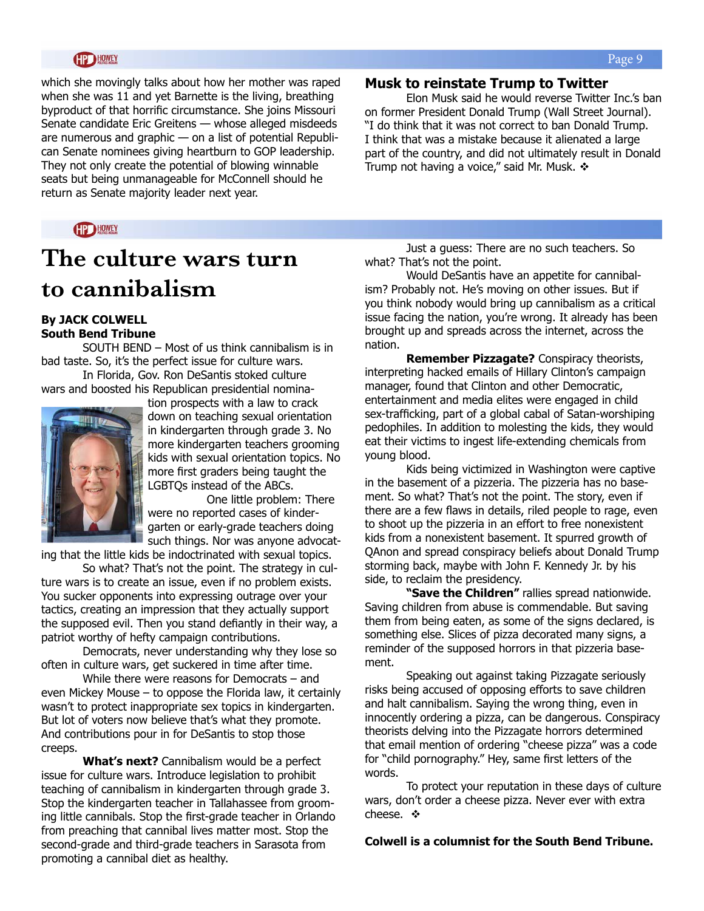which she movingly talks about how her mother was raped when she was 11 and yet Barnette is the living, breathing byproduct of that horrific circumstance. She joins Missouri Senate candidate Eric Greitens — whose alleged misdeeds are numerous and graphic — on a list of potential Republican Senate nominees giving heartburn to GOP leadership. They not only create the potential of blowing winnable seats but being unmanageable for McConnell should he return as Senate majority leader next year.

#### **HPD HOWEY**

# **The culture wars turn to cannibalism**

#### **By JACK COLWELL South Bend Tribune**

SOUTH BEND – Most of us think cannibalism is in bad taste. So, it's the perfect issue for culture wars. In Florida, Gov. Ron DeSantis stoked culture

wars and boosted his Republican presidential nomina-



tion prospects with a law to crack down on teaching sexual orientation in kindergarten through grade 3. No more kindergarten teachers grooming kids with sexual orientation topics. No more first graders being taught the LGBTQs instead of the ABCs.

 One little problem: There were no reported cases of kindergarten or early-grade teachers doing such things. Nor was anyone advocat-

ing that the little kids be indoctrinated with sexual topics.

 So what? That's not the point. The strategy in culture wars is to create an issue, even if no problem exists. You sucker opponents into expressing outrage over your tactics, creating an impression that they actually support the supposed evil. Then you stand defiantly in their way, a patriot worthy of hefty campaign contributions.

 Democrats, never understanding why they lose so often in culture wars, get suckered in time after time.

 While there were reasons for Democrats – and even Mickey Mouse – to oppose the Florida law, it certainly wasn't to protect inappropriate sex topics in kindergarten. But lot of voters now believe that's what they promote. And contributions pour in for DeSantis to stop those creeps.

 **What's next?** Cannibalism would be a perfect issue for culture wars. Introduce legislation to prohibit teaching of cannibalism in kindergarten through grade 3. Stop the kindergarten teacher in Tallahassee from grooming little cannibals. Stop the first-grade teacher in Orlando from preaching that cannibal lives matter most. Stop the second-grade and third-grade teachers in Sarasota from promoting a cannibal diet as healthy.

#### **Musk to reinstate Trump to Twitter**

Elon Musk said he would reverse Twitter Inc.'s ban on former President Donald Trump (Wall Street Journal). "I do think that it was not correct to ban Donald Trump. I think that was a mistake because it alienated a large part of the country, and did not ultimately result in Donald Trump not having a voice," said Mr. Musk.  $\div$ 

 Just a guess: There are no such teachers. So what? That's not the point.

 Would DeSantis have an appetite for cannibalism? Probably not. He's moving on other issues. But if you think nobody would bring up cannibalism as a critical issue facing the nation, you're wrong. It already has been brought up and spreads across the internet, across the nation.

 **Remember Pizzagate?** Conspiracy theorists, interpreting hacked emails of Hillary Clinton's campaign manager, found that Clinton and other Democratic, entertainment and media elites were engaged in child sex-trafficking, part of a global cabal of Satan-worshiping pedophiles. In addition to molesting the kids, they would eat their victims to ingest life-extending chemicals from young blood.

 Kids being victimized in Washington were captive in the basement of a pizzeria. The pizzeria has no basement. So what? That's not the point. The story, even if there are a few flaws in details, riled people to rage, even to shoot up the pizzeria in an effort to free nonexistent kids from a nonexistent basement. It spurred growth of QAnon and spread conspiracy beliefs about Donald Trump storming back, maybe with John F. Kennedy Jr. by his side, to reclaim the presidency.

 **"Save the Children"** rallies spread nationwide. Saving children from abuse is commendable. But saving them from being eaten, as some of the signs declared, is something else. Slices of pizza decorated many signs, a reminder of the supposed horrors in that pizzeria basement.

 Speaking out against taking Pizzagate seriously risks being accused of opposing efforts to save children and halt cannibalism. Saying the wrong thing, even in innocently ordering a pizza, can be dangerous. Conspiracy theorists delving into the Pizzagate horrors determined that email mention of ordering "cheese pizza" was a code for "child pornography." Hey, same first letters of the words.

 To protect your reputation in these days of culture wars, don't order a cheese pizza. Never ever with extra cheese.  $\mathbf{\hat{v}}$ 

**Colwell is a columnist for the South Bend Tribune.**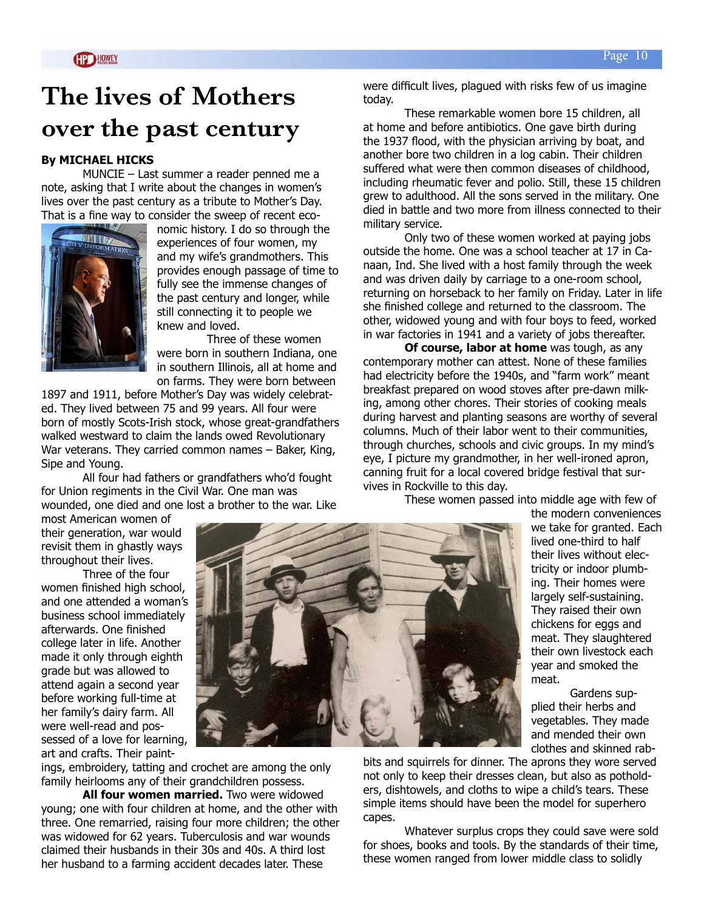# **The lives of Mothers over the past century**

#### **By MICHAEL HICKS**

MUNCIE – Last summer a reader penned me a note, asking that I write about the changes in women's lives over the past century as a tribute to Mother's Day. That is a fine way to consider the sweep of recent eco-



nomic history. I do so through the experiences of four women, my and my wife's grandmothers. This provides enough passage of time to fully see the immense changes of the past century and longer, while still connecting it to people we knew and loved.

Three of these women were born in southern Indiana, one in southern Illinois, all at home and on farms. They were born between

1897 and 1911, before Mother's Day was widely celebrated. They lived between 75 and 99 years. All four were born of mostly Scots-Irish stock, whose great-grandfathers walked westward to claim the lands owed Revolutionary War veterans. They carried common names – Baker, King, Sipe and Young.

All four had fathers or grandfathers who'd fought for Union regiments in the Civil War. One man was wounded, one died and one lost a brother to the war. Like

most American women of their generation, war would revisit them in ghastly ways throughout their lives.

Three of the four women finished high school, and one attended a woman's business school immediately afterwards. One finished college later in life. Another made it only through eighth grade but was allowed to attend again a second year before working full-time at her family's dairy farm. All were well-read and possessed of a love for learning, art and crafts. Their paint-



ings, embroidery, tatting and crochet are among the only family heirlooms any of their grandchildren possess.

**All four women married.** Two were widowed young; one with four children at home, and the other with three. One remarried, raising four more children; the other was widowed for 62 years. Tuberculosis and war wounds claimed their husbands in their 30s and 40s. A third lost her husband to a farming accident decades later. These

were difficult lives, plagued with risks few of us imagine today.

These remarkable women bore 15 children, all at home and before antibiotics. One gave birth during the 1937 flood, with the physician arriving by boat, and another bore two children in a log cabin. Their children suffered what were then common diseases of childhood, including rheumatic fever and polio. Still, these 15 children grew to adulthood. All the sons served in the military. One died in battle and two more from illness connected to their military service.

Only two of these women worked at paying jobs outside the home. One was a school teacher at 17 in Canaan, Ind. She lived with a host family through the week and was driven daily by carriage to a one-room school, returning on horseback to her family on Friday. Later in life she finished college and returned to the classroom. The other, widowed young and with four boys to feed, worked in war factories in 1941 and a variety of jobs thereafter.

**Of course, labor at home** was tough, as any contemporary mother can attest. None of these families had electricity before the 1940s, and "farm work" meant breakfast prepared on wood stoves after pre-dawn milking, among other chores. Their stories of cooking meals during harvest and planting seasons are worthy of several columns. Much of their labor went to their communities, through churches, schools and civic groups. In my mind's eye, I picture my grandmother, in her well-ironed apron, canning fruit for a local covered bridge festival that survives in Rockville to this day.

These women passed into middle age with few of

the modern conveniences we take for granted. Each lived one-third to half their lives without electricity or indoor plumbing. Their homes were largely self-sustaining. They raised their own chickens for eggs and meat. They slaughtered their own livestock each year and smoked the meat.

Gardens supplied their herbs and vegetables. They made and mended their own clothes and skinned rab-

bits and squirrels for dinner. The aprons they wore served not only to keep their dresses clean, but also as potholders, dishtowels, and cloths to wipe a child's tears. These simple items should have been the model for superhero capes.

Whatever surplus crops they could save were sold for shoes, books and tools. By the standards of their time, these women ranged from lower middle class to solidly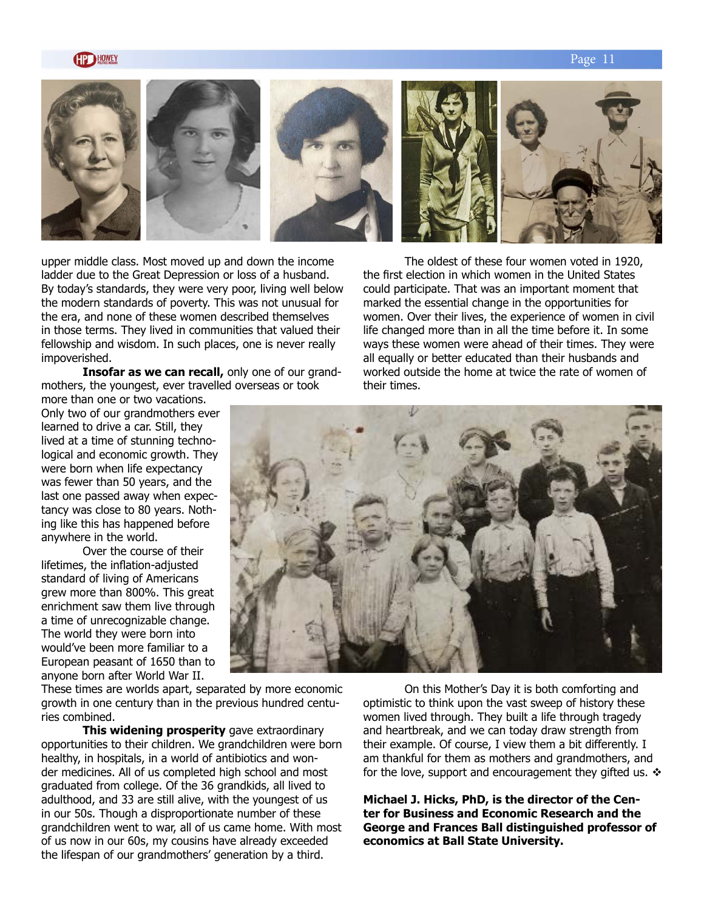#### Page 11



upper middle class. Most moved up and down the income ladder due to the Great Depression or loss of a husband. By today's standards, they were very poor, living well below the modern standards of poverty. This was not unusual for the era, and none of these women described themselves in those terms. They lived in communities that valued their fellowship and wisdom. In such places, one is never really impoverished.

**Insofar as we can recall,** only one of our grandmothers, the youngest, ever travelled overseas or took

more than one or two vacations. Only two of our grandmothers ever learned to drive a car. Still, they lived at a time of stunning technological and economic growth. They were born when life expectancy was fewer than 50 years, and the last one passed away when expectancy was close to 80 years. Nothing like this has happened before anywhere in the world.

Over the course of their lifetimes, the inflation-adjusted standard of living of Americans grew more than 800%. This great enrichment saw them live through a time of unrecognizable change. The world they were born into would've been more familiar to a European peasant of 1650 than to anyone born after World War II.

These times are worlds apart, separated by more economic growth in one century than in the previous hundred centuries combined.

**This widening prosperity** gave extraordinary opportunities to their children. We grandchildren were born healthy, in hospitals, in a world of antibiotics and wonder medicines. All of us completed high school and most graduated from college. Of the 36 grandkids, all lived to adulthood, and 33 are still alive, with the youngest of us in our 50s. Though a disproportionate number of these grandchildren went to war, all of us came home. With most of us now in our 60s, my cousins have already exceeded the lifespan of our grandmothers' generation by a third.

The oldest of these four women voted in 1920, the first election in which women in the United States could participate. That was an important moment that marked the essential change in the opportunities for women. Over their lives, the experience of women in civil life changed more than in all the time before it. In some ways these women were ahead of their times. They were all equally or better educated than their husbands and worked outside the home at twice the rate of women of their times.



On this Mother's Day it is both comforting and optimistic to think upon the vast sweep of history these women lived through. They built a life through tragedy and heartbreak, and we can today draw strength from their example. Of course, I view them a bit differently. I am thankful for them as mothers and grandmothers, and for the love, support and encouragement they gifted us.  $\div$ 

**Michael J. Hicks, PhD, is the director of the Center for Business and Economic Research and the George and Frances Ball distinguished professor of economics at Ball State University.**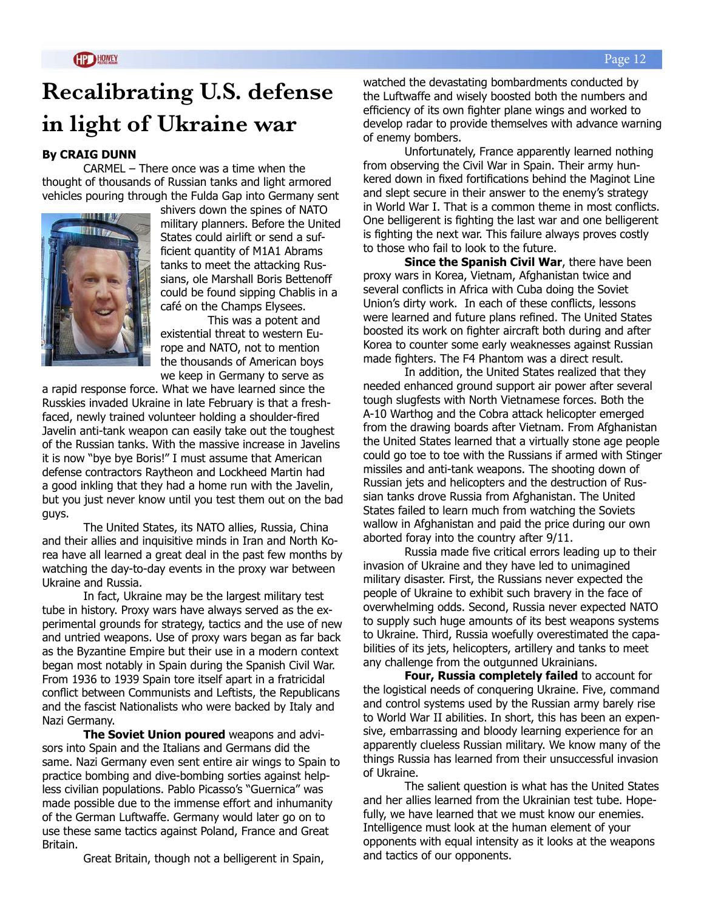# **Recalibrating U.S. defense in light of Ukraine war**

#### **By CRAIG DUNN**

CARMEL – There once was a time when the thought of thousands of Russian tanks and light armored vehicles pouring through the Fulda Gap into Germany sent



shivers down the spines of NATO military planners. Before the United States could airlift or send a sufficient quantity of M1A1 Abrams tanks to meet the attacking Russians, ole Marshall Boris Bettenoff could be found sipping Chablis in a café on the Champs Elysees.

This was a potent and existential threat to western Europe and NATO, not to mention the thousands of American boys we keep in Germany to serve as

a rapid response force. What we have learned since the Russkies invaded Ukraine in late February is that a freshfaced, newly trained volunteer holding a shoulder-fired Javelin anti-tank weapon can easily take out the toughest of the Russian tanks. With the massive increase in Javelins it is now "bye bye Boris!" I must assume that American defense contractors Raytheon and Lockheed Martin had a good inkling that they had a home run with the Javelin, but you just never know until you test them out on the bad guys.

The United States, its NATO allies, Russia, China and their allies and inquisitive minds in Iran and North Korea have all learned a great deal in the past few months by watching the day-to-day events in the proxy war between Ukraine and Russia.

In fact, Ukraine may be the largest military test tube in history. Proxy wars have always served as the experimental grounds for strategy, tactics and the use of new and untried weapons. Use of proxy wars began as far back as the Byzantine Empire but their use in a modern context began most notably in Spain during the Spanish Civil War. From 1936 to 1939 Spain tore itself apart in a fratricidal conflict between Communists and Leftists, the Republicans and the fascist Nationalists who were backed by Italy and Nazi Germany.

**The Soviet Union poured** weapons and advisors into Spain and the Italians and Germans did the same. Nazi Germany even sent entire air wings to Spain to practice bombing and dive-bombing sorties against helpless civilian populations. Pablo Picasso's "Guernica" was made possible due to the immense effort and inhumanity of the German Luftwaffe. Germany would later go on to use these same tactics against Poland, France and Great Britain.

Great Britain, though not a belligerent in Spain,

watched the devastating bombardments conducted by the Luftwaffe and wisely boosted both the numbers and efficiency of its own fighter plane wings and worked to develop radar to provide themselves with advance warning of enemy bombers.

Unfortunately, France apparently learned nothing from observing the Civil War in Spain. Their army hunkered down in fixed fortifications behind the Maginot Line and slept secure in their answer to the enemy's strategy in World War I. That is a common theme in most conflicts. One belligerent is fighting the last war and one belligerent is fighting the next war. This failure always proves costly to those who fail to look to the future.

**Since the Spanish Civil War**, there have been proxy wars in Korea, Vietnam, Afghanistan twice and several conflicts in Africa with Cuba doing the Soviet Union's dirty work. In each of these conflicts, lessons were learned and future plans refined. The United States boosted its work on fighter aircraft both during and after Korea to counter some early weaknesses against Russian made fighters. The F4 Phantom was a direct result.

In addition, the United States realized that they needed enhanced ground support air power after several tough slugfests with North Vietnamese forces. Both the A-10 Warthog and the Cobra attack helicopter emerged from the drawing boards after Vietnam. From Afghanistan the United States learned that a virtually stone age people could go toe to toe with the Russians if armed with Stinger missiles and anti-tank weapons. The shooting down of Russian jets and helicopters and the destruction of Russian tanks drove Russia from Afghanistan. The United States failed to learn much from watching the Soviets wallow in Afghanistan and paid the price during our own aborted foray into the country after 9/11.

Russia made five critical errors leading up to their invasion of Ukraine and they have led to unimagined military disaster. First, the Russians never expected the people of Ukraine to exhibit such bravery in the face of overwhelming odds. Second, Russia never expected NATO to supply such huge amounts of its best weapons systems to Ukraine. Third, Russia woefully overestimated the capabilities of its jets, helicopters, artillery and tanks to meet any challenge from the outgunned Ukrainians.

**Four, Russia completely failed** to account for the logistical needs of conquering Ukraine. Five, command and control systems used by the Russian army barely rise to World War II abilities. In short, this has been an expensive, embarrassing and bloody learning experience for an apparently clueless Russian military. We know many of the things Russia has learned from their unsuccessful invasion of Ukraine.

The salient question is what has the United States and her allies learned from the Ukrainian test tube. Hopefully, we have learned that we must know our enemies. Intelligence must look at the human element of your opponents with equal intensity as it looks at the weapons and tactics of our opponents.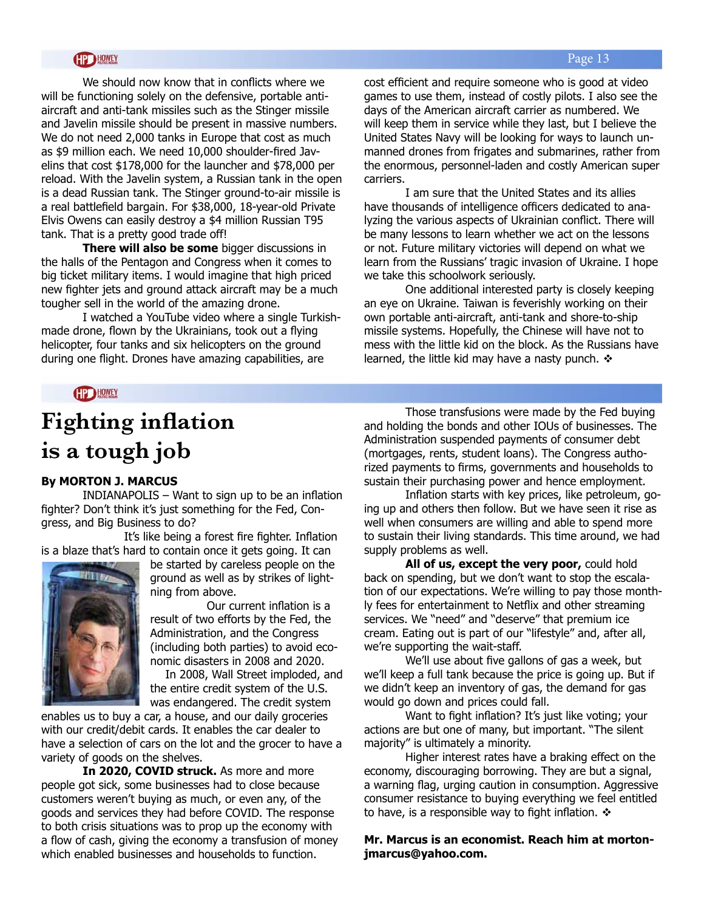#### Page 13

#### **HP HOWEY**

We should now know that in conflicts where we will be functioning solely on the defensive, portable antiaircraft and anti-tank missiles such as the Stinger missile and Javelin missile should be present in massive numbers. We do not need 2,000 tanks in Europe that cost as much as \$9 million each. We need 10,000 shoulder-fired Javelins that cost \$178,000 for the launcher and \$78,000 per reload. With the Javelin system, a Russian tank in the open is a dead Russian tank. The Stinger ground-to-air missile is a real battlefield bargain. For \$38,000, 18-year-old Private Elvis Owens can easily destroy a \$4 million Russian T95 tank. That is a pretty good trade off!

**There will also be some** bigger discussions in the halls of the Pentagon and Congress when it comes to big ticket military items. I would imagine that high priced new fighter jets and ground attack aircraft may be a much tougher sell in the world of the amazing drone.

I watched a YouTube video where a single Turkishmade drone, flown by the Ukrainians, took out a flying helicopter, four tanks and six helicopters on the ground during one flight. Drones have amazing capabilities, are

cost efficient and require someone who is good at video games to use them, instead of costly pilots. I also see the days of the American aircraft carrier as numbered. We will keep them in service while they last, but I believe the United States Navy will be looking for ways to launch unmanned drones from frigates and submarines, rather from the enormous, personnel-laden and costly American super carriers.

I am sure that the United States and its allies have thousands of intelligence officers dedicated to analyzing the various aspects of Ukrainian conflict. There will be many lessons to learn whether we act on the lessons or not. Future military victories will depend on what we learn from the Russians' tragic invasion of Ukraine. I hope we take this schoolwork seriously.

One additional interested party is closely keeping an eye on Ukraine. Taiwan is feverishly working on their own portable anti-aircraft, anti-tank and shore-to-ship missile systems. Hopefully, the Chinese will have not to mess with the little kid on the block. As the Russians have learned, the little kid may have a nasty punch.  $\triangle$ 

#### HP HOWEY

# **Fighting inflation is a tough job**

#### **By MORTON J. MARCUS**

INDIANAPOLIS – Want to sign up to be an inflation fighter? Don't think it's just something for the Fed, Congress, and Big Business to do?

It's like being a forest fire fighter. Inflation is a blaze that's hard to contain once it gets going. It can



be started by careless people on the ground as well as by strikes of lightning from above.

Our current inflation is a result of two efforts by the Fed, the Administration, and the Congress (including both parties) to avoid economic disasters in 2008 and 2020.

In 2008, Wall Street imploded, and the entire credit system of the U.S. was endangered. The credit system

enables us to buy a car, a house, and our daily groceries with our credit/debit cards. It enables the car dealer to have a selection of cars on the lot and the grocer to have a variety of goods on the shelves.

**In 2020, COVID struck.** As more and more people got sick, some businesses had to close because customers weren't buying as much, or even any, of the goods and services they had before COVID. The response to both crisis situations was to prop up the economy with a flow of cash, giving the economy a transfusion of money which enabled businesses and households to function.

Those transfusions were made by the Fed buying and holding the bonds and other IOUs of businesses. The Administration suspended payments of consumer debt (mortgages, rents, student loans). The Congress authorized payments to firms, governments and households to sustain their purchasing power and hence employment.

Inflation starts with key prices, like petroleum, going up and others then follow. But we have seen it rise as well when consumers are willing and able to spend more to sustain their living standards. This time around, we had supply problems as well.

**All of us, except the very poor,** could hold back on spending, but we don't want to stop the escalation of our expectations. We're willing to pay those monthly fees for entertainment to Netflix and other streaming services. We "need" and "deserve" that premium ice cream. Eating out is part of our "lifestyle" and, after all, we're supporting the wait-staff.

We'll use about five gallons of gas a week, but we'll keep a full tank because the price is going up. But if we didn't keep an inventory of gas, the demand for gas would go down and prices could fall.

Want to fight inflation? It's just like voting; your actions are but one of many, but important. "The silent majority" is ultimately a minority.

Higher interest rates have a braking effect on the economy, discouraging borrowing. They are but a signal, a warning flag, urging caution in consumption. Aggressive consumer resistance to buying everything we feel entitled to have, is a responsible way to fight inflation.  $\mathbf{\hat{v}}$ 

**Mr. Marcus is an economist. Reach him at mortonjmarcus@yahoo.com.**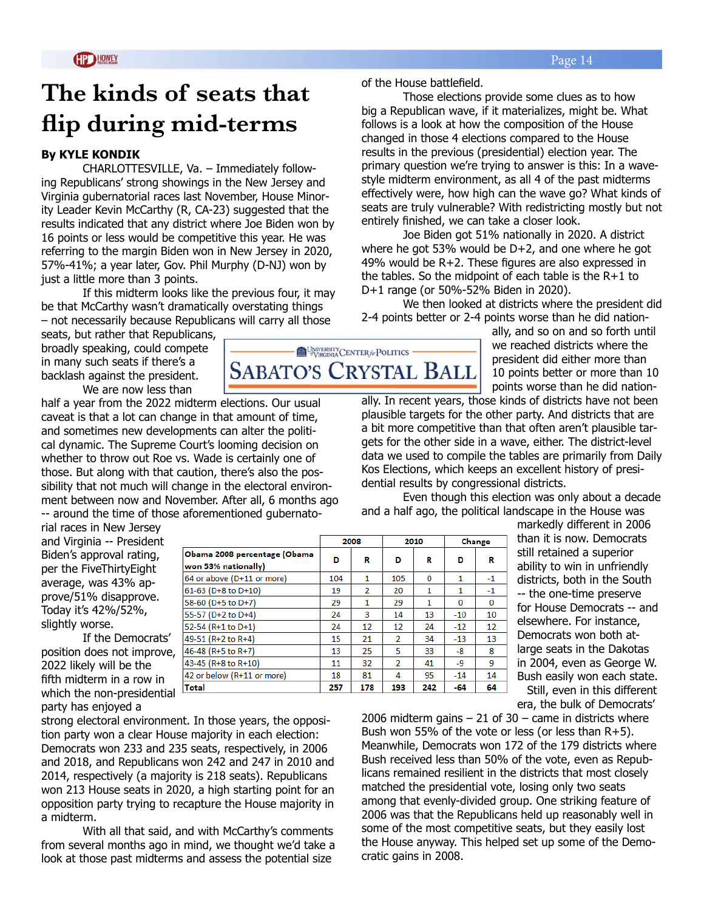Those elections provide some clues as to how big a Republican wave, if it materializes, might be. What follows is a look at how the composition of the House changed in those 4 elections compared to the House results in the previous (presidential) election year. The primary question we're trying to answer is this: In a wavestyle midterm environment, as all 4 of the past midterms effectively were, how high can the wave go? What kinds of seats are truly vulnerable? With redistricting mostly but not

Joe Biden got 51% nationally in 2020. A district where he got 53% would be D+2, and one where he got 49% would be R+2. These figures are also expressed in the tables. So the midpoint of each table is the R+1 to

entirely finished, we can take a closer look.

D+1 range (or 50%-52% Biden in 2020).

# **The kinds of seats that flip during mid-terms**

#### **By KYLE KONDIK**

CHARLOTTESVILLE, Va. – Immediately following Republicans' strong showings in the New Jersey and Virginia gubernatorial races last November, House Minority Leader Kevin McCarthy (R, CA-23) suggested that the results indicated that any district where Joe Biden won by 16 points or less would be competitive this year. He was referring to the margin Biden won in New Jersey in 2020, 57%-41%; a year later, Gov. Phil Murphy (D-NJ) won by just a little more than 3 points.

If this midterm looks like the previous four, it may be that McCarthy wasn't dramatically overstating things – not necessarily because Republicans will carry all those

seats, but rather that Republicans, broadly speaking, could compete in many such seats if there's a backlash against the president. We are now less than

half a year from the 2022 midterm elections. Our usual caveat is that a lot can change in that amount of time,

and sometimes new developments can alter the political dynamic. The Supreme Court's looming decision on whether to throw out Roe vs. Wade is certainly one of those. But along with that caution, there's also the possibility that not much will change in the electoral environment between now and November. After all, 6 months ago -- around the time of those aforementioned gubernato-

rial races in New Jersey and Virginia -- President Biden's approval rating, per the FiveThirtyEight average, was 43% approve/51% disapprove. Today it's 42%/52%, slightly worse.

If the Democrats' position does not improve, 2022 likely will be the fifth midterm in a row in which the non-presidential party has enjoyed a

k  $\begin{array}{c|c|c|c|c} \hline \textbf{c} & \textbf{c} & \textbf{c} \\ \hline \textbf{c} & \textbf{c} & \textbf{c} & \textbf{c} \end{array}$ **Total** 257 178 193 242  $-64$ 64 markedly different in 2006 than it is now. Democrats still retained a superior ability to win in unfriendly districts, both in the South -- the one-time preserve for House Democrats -- and elsewhere. For instance, Democrats won both atlarge seats in the Dakotas in 2004, even as George W. Bush easily won each state.

2006 midterm gains  $-21$  of 30 – came in districts where Bush won 55% of the vote or less (or less than R+5). Meanwhile, Democrats won 172 of the 179 districts where Bush received less than 50% of the vote, even as Republicans remained resilient in the districts that most closely matched the presidential vote, losing only two seats among that evenly-divided group. One striking feature of 2006 was that the Republicans held up reasonably well in some of the most competitive seats, but they easily lost the House anyway. This helped set up some of the Democratic gains in 2008.

UNIVERSITY CENTER for POLITICS **SABATO'S CRYSTAL BALL** 

of the House battlefield.

ally, and so on and so forth until we reached districts where the president did either more than 10 points better or more than 10 points worse than he did nation-

ally. In recent years, those kinds of districts have not been plausible targets for the other party. And districts that are a bit more competitive than that often aren't plausible targets for the other side in a wave, either. The district-level data we used to compile the tables are primarily from Daily Kos Elections, which keeps an excellent history of presidential results by congressional districts.

Even though this election was only about a decade and a half ago, the political landscape in the House was

|                              |     | 2008 |                | 2010        |              | Change |
|------------------------------|-----|------|----------------|-------------|--------------|--------|
| Obama 2008 percentage (Obama | D   | R    | D              | R           | D            | R      |
| von 53% nationally)          |     |      |                |             |              |        |
| 54 or above (D+11 or more)   | 104 | 1    | 105            | $\mathbf 0$ | 1            | $-1$   |
| 51-63 (D+8 to D+10)          | 19  | 2    | 20             | 1           | 1            | $-1$   |
| 68-60 (D+5 to D+7)           | 29  | 1    | 29             | 1           | $\mathbf{0}$ | 0      |
| 55-57 (D+2 to D+4)           | 24  | 3    | 14             | 13          | $-10$        | 10     |
| 52-54 (R+1 to D+1)           | 24  | 12   | 12             | 24          | $-12$        | 12     |
| 19-51 (R+2 to R+4)           | 15  | 21   | $\overline{2}$ | 34          | $-13$        | 13     |
| 16-48 (R+5 to R+7)           | 13  | 25   | 5              | 33          | -8           | 8      |
| 13-45 (R+8 to R+10)          | 11  | 32   | $\mathcal{P}$  | 41          | -9           | 9      |
| 12 or below (R+11 or more)   | 18  | 81   | 4              | 95          | $-14$        | 14     |

Still, even in this different era, the bulk of Democrats'

We then looked at districts where the president did 2-4 points better or 2-4 points worse than he did nation-

Democrats won 233 and 235 seats, respectively, in 2006 and 2018, and Republicans won 242 and 247 in 2010 and 2014, respectively (a majority is 218 seats). Republicans won 213 House seats in 2020, a high starting point for an opposition party trying to recapture the House majority in a midterm.

strong electoral environment. In those years, the opposition party won a clear House majority in each election:

With all that said, and with McCarthy's comments from several months ago in mind, we thought we'd take a look at those past midterms and assess the potential size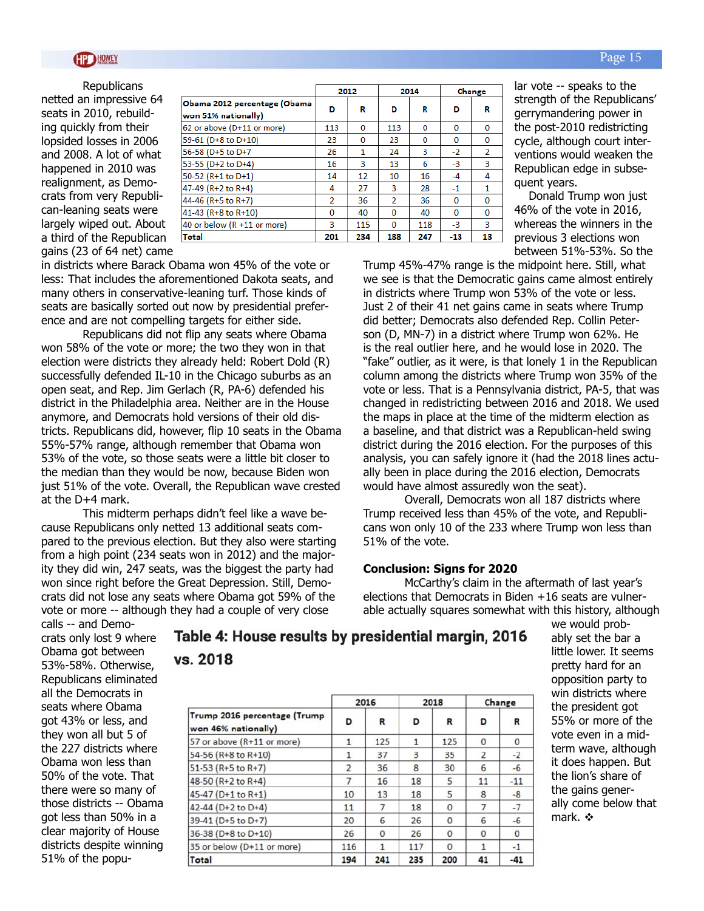**Republicans** netted an impressive 64 seats in 2010, rebuilding quickly from their lopsided losses in 2006 and 2008. A lot of what happened in 2010 was realignment, as Democrats from very Republican-leaning seats were largely wiped out. About a third of the Republican gains (23 of 64 net) came

|                                                     | 2012     |          | 2014           |          | Change   |                |
|-----------------------------------------------------|----------|----------|----------------|----------|----------|----------------|
| Obama 2012 percentage (Obama<br>won 51% nationally) | D        | R        | D              | R        | D        | R              |
| 62 or above (D+11 or more)                          | 113      | $\Omega$ | 113            | $\bf{0}$ | $\Omega$ | 0              |
| 59-61 (D+8 to D+10)                                 | 23       | $\Omega$ | 23             | 0        | $\Omega$ | 0              |
| 56-58 (D+5 to D+7                                   | 26       | 1        | 24             | 3        | $-2$     | $\overline{2}$ |
| 53-55 (D+2 to D+4)                                  | 16       | 3        | 13             | 6        | $-3$     | 3              |
| 50-52 (R+1 to D+1)                                  | 14       | 12       | 10             | 16       | -4       | 4              |
| 47-49 (R+2 to R+4)                                  | 4        | 27       | 3              | 28       | $-1$     | 1              |
| 44-46 (R+5 to R+7)                                  | 2        | 36       | $\overline{2}$ | 36       | 0        | 0              |
| 41-43 (R+8 to R+10)                                 | $\Omega$ | 40       | $\Omega$       | 40       | $\Omega$ | 0              |
| 40 or below (R +11 or more)                         | 3        | 115      | $\Omega$       | 118      | $-3$     | 3              |
| Total                                               | 201      | 234      | 188            | 247      | $-13$    | 13             |

in districts where Barack Obama won 45% of the vote or less: That includes the aforementioned Dakota seats, and many others in conservative-leaning turf. Those kinds of seats are basically sorted out now by presidential preference and are not compelling targets for either side.

Republicans did not flip any seats where Obama won 58% of the vote or more; the two they won in that election were districts they already held: Robert Dold (R) successfully defended IL-10 in the Chicago suburbs as an open seat, and Rep. Jim Gerlach (R, PA-6) defended his district in the Philadelphia area. Neither are in the House anymore, and Democrats hold versions of their old districts. Republicans did, however, flip 10 seats in the Obama 55%-57% range, although remember that Obama won 53% of the vote, so those seats were a little bit closer to the median than they would be now, because Biden won just 51% of the vote. Overall, the Republican wave crested at the D+4 mark.

This midterm perhaps didn't feel like a wave because Republicans only netted 13 additional seats compared to the previous election. But they also were starting from a high point (234 seats won in 2012) and the majority they did win, 247 seats, was the biggest the party had won since right before the Great Depression. Still, Democrats did not lose any seats where Obama got 59% of the vote or more -- although they had a couple of very close

lar vote -- speaks to the strength of the Republicans' gerrymandering power in the post-2010 redistricting cycle, although court interventions would weaken the Republican edge in subsequent years.

Donald Trump won just 46% of the vote in 2016, whereas the winners in the previous 3 elections won between 51%-53%. So the

Trump 45%-47% range is the midpoint here. Still, what we see is that the Democratic gains came almost entirely in districts where Trump won 53% of the vote or less. Just 2 of their 41 net gains came in seats where Trump did better; Democrats also defended Rep. Collin Peterson (D, MN-7) in a district where Trump won 62%. He is the real outlier here, and he would lose in 2020. The "fake" outlier, as it were, is that lonely 1 in the Republican column among the districts where Trump won 35% of the vote or less. That is a Pennsylvania district, PA-5, that was changed in redistricting between 2016 and 2018. We used the maps in place at the time of the midterm election as a baseline, and that district was a Republican-held swing district during the 2016 election. For the purposes of this analysis, you can safely ignore it (had the 2018 lines actually been in place during the 2016 election, Democrats would have almost assuredly won the seat).

Overall, Democrats won all 187 districts where Trump received less than 45% of the vote, and Republicans won only 10 of the 233 where Trump won less than 51% of the vote.

#### **Conclusion: Signs for 2020**

McCarthy's claim in the aftermath of last year's elections that Democrats in Biden +16 seats are vulnerable actually squares somewhat with this history, although

calls -- and Democrats only lost 9 where Obama got between 53%-58%. Otherwise, Republicans eliminated all the Democrats in seats where Obama got 43% or less, and they won all but 5 of the 227 districts where Obama won less than 50% of the vote. That there were so many of those districts -- Obama got less than 50% in a clear majority of House districts despite winning 51% of the popu-

Table 4: House results by presidential margin, 2016 vs. 2018

| Trump 2016 percentage (Trump<br>won 46% nationally) | 2016           |                | 2018 |          | Change         |              |
|-----------------------------------------------------|----------------|----------------|------|----------|----------------|--------------|
|                                                     | D              | R              | D    | R        | D              | R            |
| 57 or above (R+11 or more)                          | 1              | 125            | 1    | 125      | $\Omega$       | $\Omega$     |
| 54-56 (R+8 to R+10)                                 |                | 37             | 3    | 35       | $\overline{2}$ | $-2$         |
| 51-53 (R+5 to R+7)                                  | $\overline{2}$ | 36             | 8    | 30       | 6              | $-6$         |
| 48-50 (R+2 to R+4)                                  | 7              | 16             | 18   | 5        | 11             | $-11$        |
| 45-47 (D+1 to R+1)                                  | 10             | 13             | 18   | 5        | 8              | $-8$         |
| 42-44 (D+2 to D+4)                                  | 11             | $\overline{7}$ | 18   | $\Omega$ | 7              | $-7$         |
| 39-41 (D+5 to D+7)                                  | 20             | 6              | 26   | $\Omega$ | 6              | $-6$         |
| 36-38 (D+8 to D+10)                                 | 26             | $\mathbf 0$    | 26   | $\Omega$ | $\mathbf{0}$   | $\mathbf{O}$ |
| 35 or below (D+11 or more)                          | 116            |                | 117  | $\Omega$ | 1              | $-1$         |
| Total                                               | 194            | 241            | 235  | 200      | 41             | $-41$        |

we would probably set the bar a little lower. It seems pretty hard for an opposition party to win districts where the president got 55% or more of the vote even in a midterm wave, although it does happen. But the lion's share of the gains generally come below that mark.  $\div$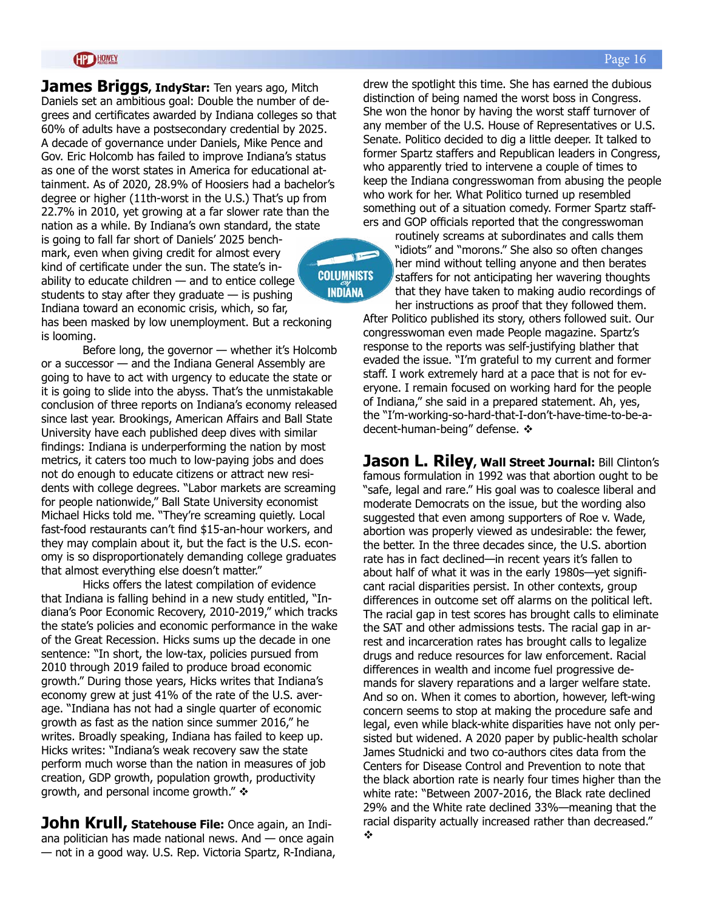#### **HOWEY**

**James Briggs, IndyStar:** Ten years ago, Mitch Daniels set an ambitious goal: Double the number of degrees and certificates awarded by Indiana colleges so that 60% of adults have a postsecondary credential by 2025. A decade of governance under Daniels, Mike Pence and Gov. Eric Holcomb has failed to improve Indiana's status as one of the worst states in America for educational attainment. As of 2020, 28.9% of Hoosiers had a bachelor's degree or higher (11th-worst in the U.S.) That's up from 22.7% in 2010, yet growing at a far slower rate than the nation as a while. By Indiana's own standard, the state is going to fall far short of Daniels' 2025 benchmark, even when giving credit for almost every kind of certificate under the sun. The state's in-**COLUMNISTS** ability to educate children  $-$  and to entice college **INDIANA** students to stay after they graduate  $-$  is pushing Indiana toward an economic crisis, which, so far, has been masked by low unemployment. But a reckoning is looming.

Before long, the governor — whether it's Holcomb or a successor — and the Indiana General Assembly are going to have to act with urgency to educate the state or it is going to slide into the abyss. That's the unmistakable conclusion of three reports on Indiana's economy released since last year. Brookings, American Affairs and Ball State University have each published deep dives with similar findings: Indiana is underperforming the nation by most metrics, it caters too much to low-paying jobs and does not do enough to educate citizens or attract new residents with college degrees. "Labor markets are screaming for people nationwide," Ball State University economist Michael Hicks told me. "They're screaming quietly. Local fast-food restaurants can't find \$15-an-hour workers, and they may complain about it, but the fact is the U.S. economy is so disproportionately demanding college graduates that almost everything else doesn't matter."

Hicks offers the latest compilation of evidence that Indiana is falling behind in a new study entitled, "Indiana's Poor Economic Recovery, 2010-2019," which tracks the state's policies and economic performance in the wake of the Great Recession. Hicks sums up the decade in one sentence: "In short, the low-tax, policies pursued from 2010 through 2019 failed to produce broad economic growth." During those years, Hicks writes that Indiana's economy grew at just 41% of the rate of the U.S. average. "Indiana has not had a single quarter of economic growth as fast as the nation since summer 2016," he writes. Broadly speaking, Indiana has failed to keep up. Hicks writes: "Indiana's weak recovery saw the state perform much worse than the nation in measures of job creation, GDP growth, population growth, productivity growth, and personal income growth."  $\triangle$ 

**John Krull, Statehouse File:** Once again, an Indiana politician has made national news. And — once again — not in a good way. U.S. Rep. Victoria Spartz, R-Indiana, drew the spotlight this time. She has earned the dubious distinction of being named the worst boss in Congress. She won the honor by having the worst staff turnover of any member of the U.S. House of Representatives or U.S. Senate. Politico decided to dig a little deeper. It talked to former Spartz staffers and Republican leaders in Congress, who apparently tried to intervene a couple of times to keep the Indiana congresswoman from abusing the people who work for her. What Politico turned up resembled something out of a situation comedy. Former Spartz staffers and GOP officials reported that the congresswoman

routinely screams at subordinates and calls them "idiots" and "morons." She also so often changes her mind without telling anyone and then berates staffers for not anticipating her wavering thoughts that they have taken to making audio recordings of her instructions as proof that they followed them.

After Politico published its story, others followed suit. Our congresswoman even made People magazine. Spartz's response to the reports was self-justifying blather that evaded the issue. "I'm grateful to my current and former staff. I work extremely hard at a pace that is not for everyone. I remain focused on working hard for the people of Indiana," she said in a prepared statement. Ah, yes, the "I'm-working-so-hard-that-I-don't-have-time-to-be-adecent-human-being" defense. ❖

**Jason L. Riley, Wall Street Journal:** Bill Clinton's famous formulation in 1992 was that abortion ought to be "safe, legal and rare." His goal was to coalesce liberal and moderate Democrats on the issue, but the wording also suggested that even among supporters of Roe v. Wade, abortion was properly viewed as undesirable: the fewer, the better. In the three decades since, the U.S. abortion rate has in fact declined—in recent years it's fallen to about half of what it was in the early 1980s—yet significant racial disparities persist. In other contexts, group differences in outcome set off alarms on the political left. The racial gap in test scores has brought calls to eliminate the SAT and other admissions tests. The racial gap in arrest and incarceration rates has brought calls to legalize drugs and reduce resources for law enforcement. Racial differences in wealth and income fuel progressive demands for slavery reparations and a larger welfare state. And so on. When it comes to abortion, however, left-wing concern seems to stop at making the procedure safe and legal, even while black-white disparities have not only persisted but widened. A 2020 paper by public-health scholar James Studnicki and two co-authors cites data from the Centers for Disease Control and Prevention to note that the black abortion rate is nearly four times higher than the white rate: "Between 2007-2016, the Black rate declined 29% and the White rate declined 33%—meaning that the racial disparity actually increased rather than decreased." v